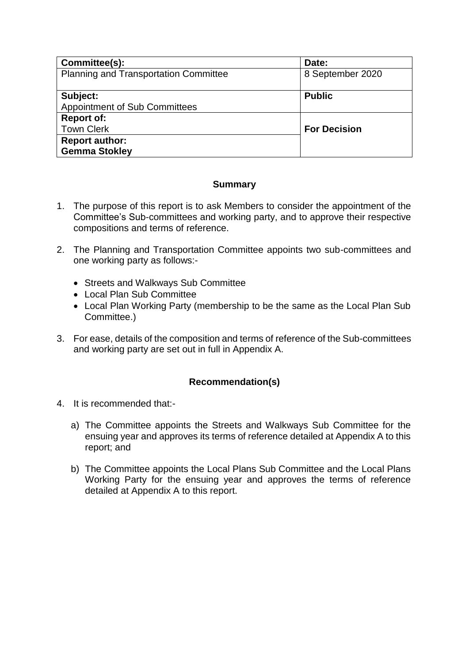| Committee(s):                                | Date:               |
|----------------------------------------------|---------------------|
| <b>Planning and Transportation Committee</b> | 8 September 2020    |
|                                              |                     |
| Subject:                                     | <b>Public</b>       |
| <b>Appointment of Sub Committees</b>         |                     |
| <b>Report of:</b>                            |                     |
| <b>Town Clerk</b>                            | <b>For Decision</b> |
| <b>Report author:</b>                        |                     |
| <b>Gemma Stokley</b>                         |                     |

## **Summary**

- 1. The purpose of this report is to ask Members to consider the appointment of the Committee's Sub-committees and working party, and to approve their respective compositions and terms of reference.
- 2. The Planning and Transportation Committee appoints two sub-committees and one working party as follows:-
	- Streets and Walkways Sub Committee
	- Local Plan Sub Committee
	- Local Plan Working Party (membership to be the same as the Local Plan Sub Committee.)
- 3. For ease, details of the composition and terms of reference of the Sub-committees and working party are set out in full in Appendix A.

# **Recommendation(s)**

- 4. It is recommended that:
	- a) The Committee appoints the Streets and Walkways Sub Committee for the ensuing year and approves its terms of reference detailed at Appendix A to this report; and
	- b) The Committee appoints the Local Plans Sub Committee and the Local Plans Working Party for the ensuing year and approves the terms of reference detailed at Appendix A to this report.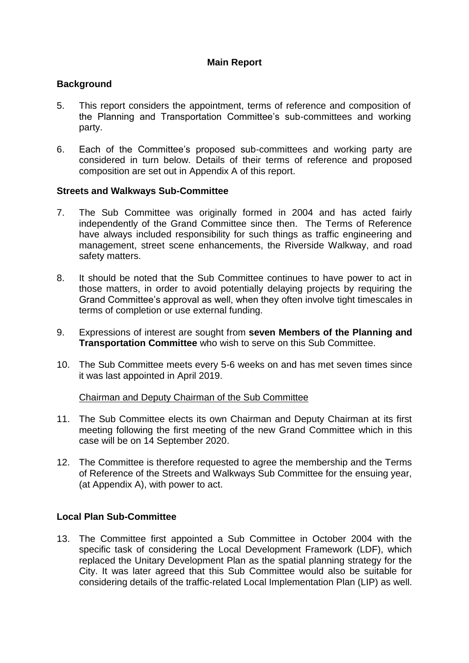## **Main Report**

#### **Background**

- 5. This report considers the appointment, terms of reference and composition of the Planning and Transportation Committee's sub-committees and working party.
- 6. Each of the Committee's proposed sub-committees and working party are considered in turn below. Details of their terms of reference and proposed composition are set out in Appendix A of this report.

#### **Streets and Walkways Sub-Committee**

- 7. The Sub Committee was originally formed in 2004 and has acted fairly independently of the Grand Committee since then. The Terms of Reference have always included responsibility for such things as traffic engineering and management, street scene enhancements, the Riverside Walkway, and road safety matters.
- 8. It should be noted that the Sub Committee continues to have power to act in those matters, in order to avoid potentially delaying projects by requiring the Grand Committee's approval as well, when they often involve tight timescales in terms of completion or use external funding.
- 9. Expressions of interest are sought from **seven Members of the Planning and Transportation Committee** who wish to serve on this Sub Committee.
- 10. The Sub Committee meets every 5-6 weeks on and has met seven times since it was last appointed in April 2019.

#### Chairman and Deputy Chairman of the Sub Committee

- 11. The Sub Committee elects its own Chairman and Deputy Chairman at its first meeting following the first meeting of the new Grand Committee which in this case will be on 14 September 2020.
- 12. The Committee is therefore requested to agree the membership and the Terms of Reference of the Streets and Walkways Sub Committee for the ensuing year, (at Appendix A), with power to act.

## **Local Plan Sub-Committee**

13. The Committee first appointed a Sub Committee in October 2004 with the specific task of considering the Local Development Framework (LDF), which replaced the Unitary Development Plan as the spatial planning strategy for the City. It was later agreed that this Sub Committee would also be suitable for considering details of the traffic-related Local Implementation Plan (LIP) as well.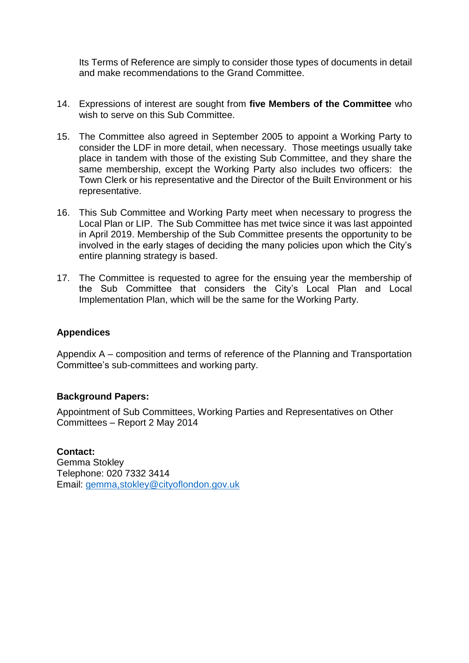Its Terms of Reference are simply to consider those types of documents in detail and make recommendations to the Grand Committee.

- 14. Expressions of interest are sought from **five Members of the Committee** who wish to serve on this Sub Committee.
- 15. The Committee also agreed in September 2005 to appoint a Working Party to consider the LDF in more detail, when necessary. Those meetings usually take place in tandem with those of the existing Sub Committee, and they share the same membership, except the Working Party also includes two officers: the Town Clerk or his representative and the Director of the Built Environment or his representative.
- 16. This Sub Committee and Working Party meet when necessary to progress the Local Plan or LIP. The Sub Committee has met twice since it was last appointed in April 2019. Membership of the Sub Committee presents the opportunity to be involved in the early stages of deciding the many policies upon which the City's entire planning strategy is based.
- 17. The Committee is requested to agree for the ensuing year the membership of the Sub Committee that considers the City's Local Plan and Local Implementation Plan, which will be the same for the Working Party.

#### **Appendices**

Appendix A – composition and terms of reference of the Planning and Transportation Committee's sub-committees and working party.

#### **Background Papers:**

Appointment of Sub Committees, Working Parties and Representatives on Other Committees – Report 2 May 2014

**Contact:** Gemma Stokley Telephone: 020 7332 3414 Email: [gemma,stokley@cityoflondon.gov.uk](mailto:angela.roach@cityoflondon.gov.uk)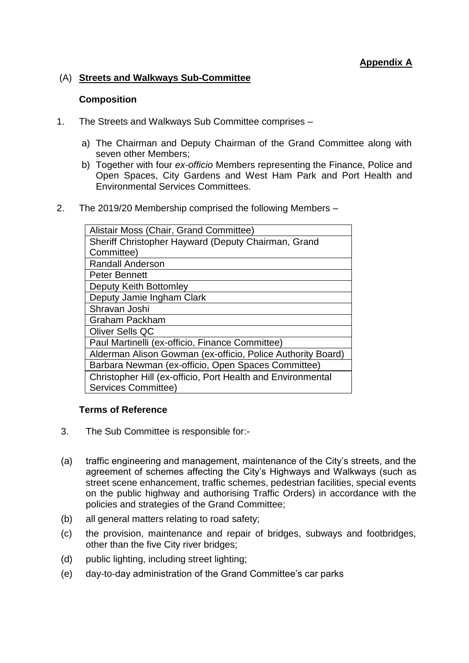## (A) **Streets and Walkways Sub-Committee**

#### **Composition**

- 1. The Streets and Walkways Sub Committee comprises
	- a) The Chairman and Deputy Chairman of the Grand Committee along with seven other Members;
	- b) Together with four *ex-officio* Members representing the Finance, Police and Open Spaces, City Gardens and West Ham Park and Port Health and Environmental Services Committees.
- 2. The 2019/20 Membership comprised the following Members –

| Alistair Moss (Chair, Grand Committee)                      |
|-------------------------------------------------------------|
| Sheriff Christopher Hayward (Deputy Chairman, Grand         |
| Committee)                                                  |
| <b>Randall Anderson</b>                                     |
| <b>Peter Bennett</b>                                        |
| Deputy Keith Bottomley                                      |
| Deputy Jamie Ingham Clark                                   |
| Shravan Joshi                                               |
| <b>Graham Packham</b>                                       |
| <b>Oliver Sells QC</b>                                      |
| Paul Martinelli (ex-officio, Finance Committee)             |
| Alderman Alison Gowman (ex-officio, Police Authority Board) |
| Barbara Newman (ex-officio, Open Spaces Committee)          |
| Christopher Hill (ex-officio, Port Health and Environmental |
| Services Committee)                                         |

## **Terms of Reference**

- 3. The Sub Committee is responsible for:-
- (a) traffic engineering and management, maintenance of the City's streets, and the agreement of schemes affecting the City's Highways and Walkways (such as street scene enhancement, traffic schemes, pedestrian facilities, special events on the public highway and authorising Traffic Orders) in accordance with the policies and strategies of the Grand Committee;
- (b) all general matters relating to road safety;
- (c) the provision, maintenance and repair of bridges, subways and footbridges, other than the five City river bridges;
- (d) public lighting, including street lighting;
- (e) day-to-day administration of the Grand Committee's car parks